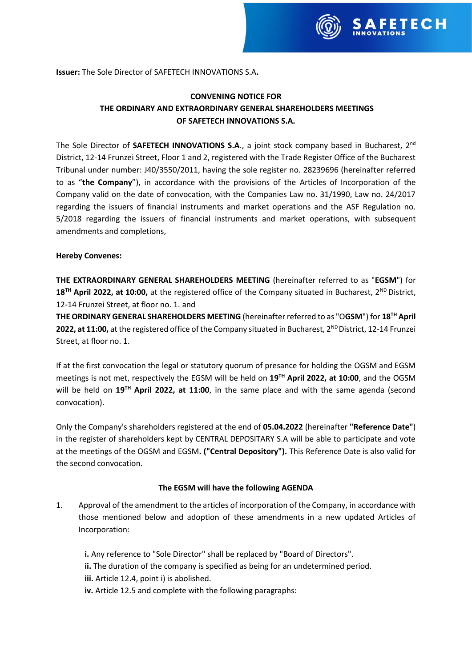

**Issuer:** The Sole Director of SAFETECH INNOVATIONS S.A**.**

# **CONVENING NOTICE FOR THE ORDINARY AND EXTRAORDINARY GENERAL SHAREHOLDERS MEETINGS OF SAFETECH INNOVATIONS S.A.**

The Sole Director of SAFETECH INNOVATIONS S.A., a joint stock company based in Bucharest, 2<sup>nd</sup> District, 12-14 Frunzei Street, Floor 1 and 2, registered with the Trade Register Office of the Bucharest Tribunal under number: J40/3550/2011, having the sole register no. 28239696 (hereinafter referred to as "**the Company**"), in accordance with the provisions of the Articles of Incorporation of the Company valid on the date of convocation, with the Companies Law no. 31/1990, Law no. 24/2017 regarding the issuers of financial instruments and market operations and the ASF Regulation no. 5/2018 regarding the issuers of financial instruments and market operations, with subsequent amendments and completions,

#### **Hereby Convenes:**

**THE EXTRAORDINARY GENERAL SHAREHOLDERS MEETING** (hereinafter referred to as "**EGSM**") for 18<sup>TH</sup> April 2022, at 10:00, at the registered office of the Company situated in Bucharest, 2<sup>ND</sup> District, 12-14 Frunzei Street, at floor no. 1. and

**THE ORDINARY GENERAL SHAREHOLDERS MEETING** (hereinafter referred to as "O**GSM**") for **18TH April**  2022, at 11:00, at the registered office of the Company situated in Bucharest, 2<sup>ND</sup> District, 12-14 Frunzei Street, at floor no. 1.

If at the first convocation the legal or statutory quorum of presance for holding the OGSM and EGSM meetings is not met, respectively the EGSM will be held on **19TH April 2022, at 10:00**, and the OGSM will be held on **19TH April 2022, at 11:00**, in the same place and with the same agenda (second convocation).

Only the Company's shareholders registered at the end of **05.04.2022** (hereinafter **"Reference Date"**) in the register of shareholders kept by CENTRAL DEPOSITARY S.A will be able to participate and vote at the meetings of the OGSM and EGSM**. ("Central Depository").** This Reference Date is also valid for the second convocation.

#### **The EGSM will have the following AGENDA**

1. Approval of the amendment to the articles of incorporation of the Company, in accordance with those mentioned below and adoption of these amendments in a new updated Articles of Incorporation:

**i.** Any reference to "Sole Director" shall be replaced by "Board of Directors". **ii.** The duration of the company is specified as being for an undetermined period. **iii.** Article 12.4, point i) is abolished. **iv.** Article 12.5 and complete with the following paragraphs: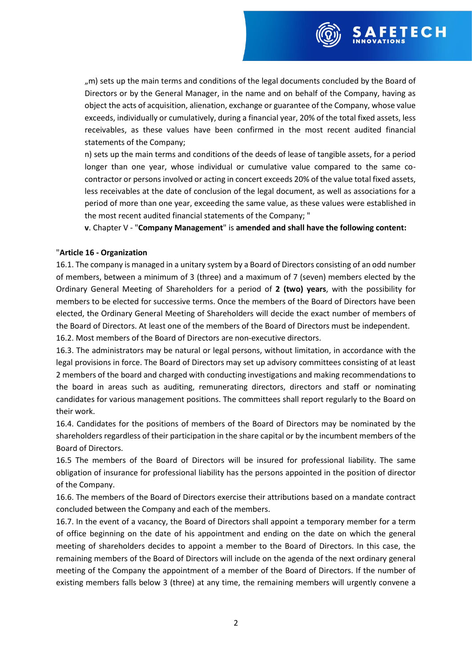

SAFETECH

n) sets up the main terms and conditions of the deeds of lease of tangible assets, for a period longer than one year, whose individual or cumulative value compared to the same cocontractor or persons involved or acting in concert exceeds 20% of the value total fixed assets, less receivables at the date of conclusion of the legal document, as well as associations for a period of more than one year, exceeding the same value, as these values were established in the most recent audited financial statements of the Company; "

**v**. Chapter V - "**Company Management**" is **amended and shall have the following content:**

#### "**Article 16 - Organization**

16.1. The company is managed in a unitary system by a Board of Directors consisting of an odd number of members, between a minimum of 3 (three) and a maximum of 7 (seven) members elected by the Ordinary General Meeting of Shareholders for a period of **2 (two) years**, with the possibility for members to be elected for successive terms. Once the members of the Board of Directors have been elected, the Ordinary General Meeting of Shareholders will decide the exact number of members of the Board of Directors. At least one of the members of the Board of Directors must be independent.

16.2. Most members of the Board of Directors are non-executive directors.

16.3. The administrators may be natural or legal persons, without limitation, in accordance with the legal provisions in force. The Board of Directors may set up advisory committees consisting of at least 2 members of the board and charged with conducting investigations and making recommendations to the board in areas such as auditing, remunerating directors, directors and staff or nominating candidates for various management positions. The committees shall report regularly to the Board on their work.

16.4. Candidates for the positions of members of the Board of Directors may be nominated by the shareholders regardless of their participation in the share capital or by the incumbent members of the Board of Directors.

16.5 The members of the Board of Directors will be insured for professional liability. The same obligation of insurance for professional liability has the persons appointed in the position of director of the Company.

16.6. The members of the Board of Directors exercise their attributions based on a mandate contract concluded between the Company and each of the members.

16.7. In the event of a vacancy, the Board of Directors shall appoint a temporary member for a term of office beginning on the date of his appointment and ending on the date on which the general meeting of shareholders decides to appoint a member to the Board of Directors. In this case, the remaining members of the Board of Directors will include on the agenda of the next ordinary general meeting of the Company the appointment of a member of the Board of Directors. If the number of existing members falls below 3 (three) at any time, the remaining members will urgently convene a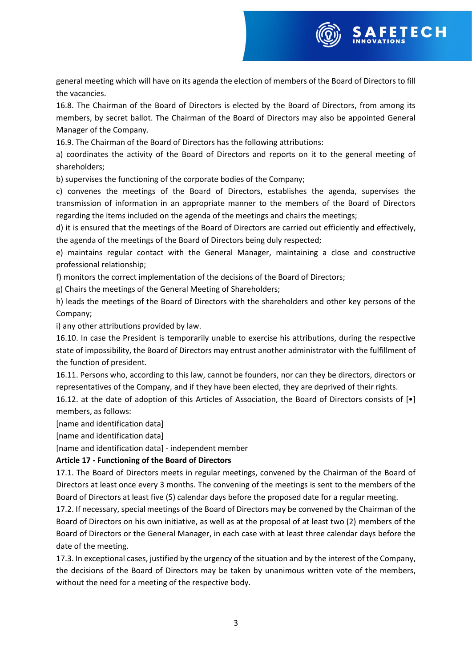

16.8. The Chairman of the Board of Directors is elected by the Board of Directors, from among its members, by secret ballot. The Chairman of the Board of Directors may also be appointed General Manager of the Company.

16.9. The Chairman of the Board of Directors has the following attributions:

a) coordinates the activity of the Board of Directors and reports on it to the general meeting of shareholders;

b) supervises the functioning of the corporate bodies of the Company;

c) convenes the meetings of the Board of Directors, establishes the agenda, supervises the transmission of information in an appropriate manner to the members of the Board of Directors regarding the items included on the agenda of the meetings and chairs the meetings;

d) it is ensured that the meetings of the Board of Directors are carried out efficiently and effectively, the agenda of the meetings of the Board of Directors being duly respected;

e) maintains regular contact with the General Manager, maintaining a close and constructive professional relationship;

f) monitors the correct implementation of the decisions of the Board of Directors;

g) Chairs the meetings of the General Meeting of Shareholders;

h) leads the meetings of the Board of Directors with the shareholders and other key persons of the Company;

i) any other attributions provided by law.

16.10. In case the President is temporarily unable to exercise his attributions, during the respective state of impossibility, the Board of Directors may entrust another administrator with the fulfillment of the function of president.

16.11. Persons who, according to this law, cannot be founders, nor can they be directors, directors or representatives of the Company, and if they have been elected, they are deprived of their rights.

16.12. at the date of adoption of this Articles of Association, the Board of Directors consists of [•] members, as follows:

[name and identification data]

[name and identification data]

[name and identification data] - independent member

#### **Article 17 - Functioning of the Board of Directors**

17.1. The Board of Directors meets in regular meetings, convened by the Chairman of the Board of Directors at least once every 3 months. The convening of the meetings is sent to the members of the Board of Directors at least five (5) calendar days before the proposed date for a regular meeting.

17.2. If necessary, special meetings of the Board of Directors may be convened by the Chairman of the Board of Directors on his own initiative, as well as at the proposal of at least two (2) members of the Board of Directors or the General Manager, in each case with at least three calendar days before the date of the meeting.

17.3. In exceptional cases, justified by the urgency of the situation and by the interest of the Company, the decisions of the Board of Directors may be taken by unanimous written vote of the members, without the need for a meeting of the respective body.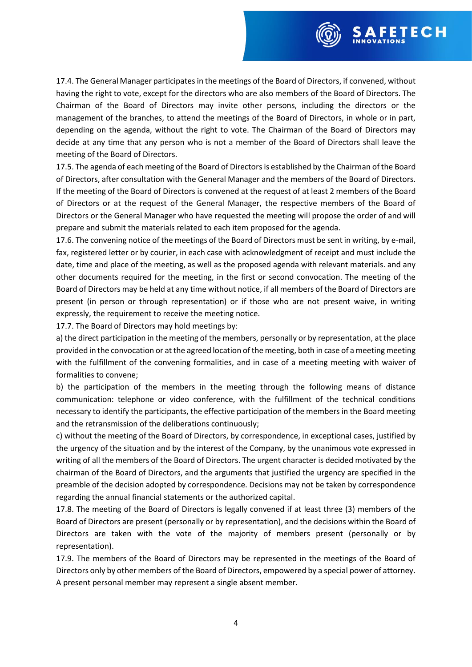

17.4. The General Manager participates in the meetings of the Board of Directors, if convened, without having the right to vote, except for the directors who are also members of the Board of Directors. The Chairman of the Board of Directors may invite other persons, including the directors or the management of the branches, to attend the meetings of the Board of Directors, in whole or in part, depending on the agenda, without the right to vote. The Chairman of the Board of Directors may decide at any time that any person who is not a member of the Board of Directors shall leave the meeting of the Board of Directors.

17.5. The agenda of each meeting of the Board of Directors is established by the Chairman of the Board of Directors, after consultation with the General Manager and the members of the Board of Directors. If the meeting of the Board of Directors is convened at the request of at least 2 members of the Board of Directors or at the request of the General Manager, the respective members of the Board of Directors or the General Manager who have requested the meeting will propose the order of and will prepare and submit the materials related to each item proposed for the agenda.

17.6. The convening notice of the meetings of the Board of Directors must be sent in writing, by e-mail, fax, registered letter or by courier, in each case with acknowledgment of receipt and must include the date, time and place of the meeting, as well as the proposed agenda with relevant materials. and any other documents required for the meeting, in the first or second convocation. The meeting of the Board of Directors may be held at any time without notice, if all members of the Board of Directors are present (in person or through representation) or if those who are not present waive, in writing expressly, the requirement to receive the meeting notice.

17.7. The Board of Directors may hold meetings by:

a) the direct participation in the meeting of the members, personally or by representation, at the place provided in the convocation or at the agreed location of the meeting, both in case of a meeting meeting with the fulfillment of the convening formalities, and in case of a meeting meeting with waiver of formalities to convene;

b) the participation of the members in the meeting through the following means of distance communication: telephone or video conference, with the fulfillment of the technical conditions necessary to identify the participants, the effective participation of the members in the Board meeting and the retransmission of the deliberations continuously;

c) without the meeting of the Board of Directors, by correspondence, in exceptional cases, justified by the urgency of the situation and by the interest of the Company, by the unanimous vote expressed in writing of all the members of the Board of Directors. The urgent character is decided motivated by the chairman of the Board of Directors, and the arguments that justified the urgency are specified in the preamble of the decision adopted by correspondence. Decisions may not be taken by correspondence regarding the annual financial statements or the authorized capital.

17.8. The meeting of the Board of Directors is legally convened if at least three (3) members of the Board of Directors are present (personally or by representation), and the decisions within the Board of Directors are taken with the vote of the majority of members present (personally or by representation).

17.9. The members of the Board of Directors may be represented in the meetings of the Board of Directors only by other members of the Board of Directors, empowered by a special power of attorney. A present personal member may represent a single absent member.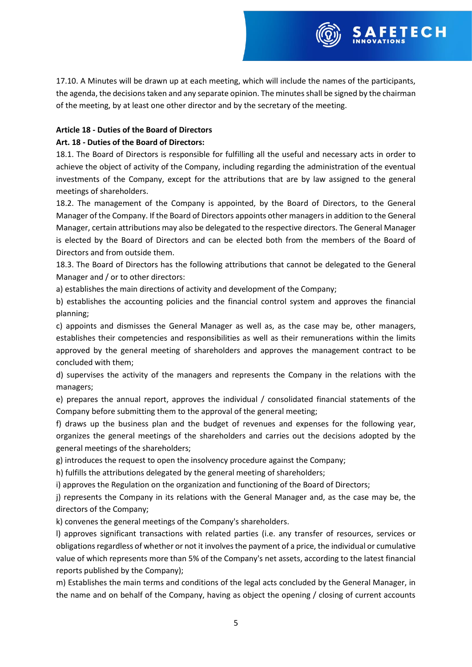17.10. A Minutes will be drawn up at each meeting, which will include the names of the participants, the agenda, the decisions taken and any separate opinion. The minutes shall be signed by the chairman of the meeting, by at least one other director and by the secretary of the meeting.

**FETECH** 

### **Article 18 - Duties of the Board of Directors**

### **Art. 18 - Duties of the Board of Directors:**

18.1. The Board of Directors is responsible for fulfilling all the useful and necessary acts in order to achieve the object of activity of the Company, including regarding the administration of the eventual investments of the Company, except for the attributions that are by law assigned to the general meetings of shareholders.

18.2. The management of the Company is appointed, by the Board of Directors, to the General Manager of the Company. If the Board of Directors appoints other managers in addition to the General Manager, certain attributions may also be delegated to the respective directors. The General Manager is elected by the Board of Directors and can be elected both from the members of the Board of Directors and from outside them.

18.3. The Board of Directors has the following attributions that cannot be delegated to the General Manager and / or to other directors:

a) establishes the main directions of activity and development of the Company;

b) establishes the accounting policies and the financial control system and approves the financial planning;

c) appoints and dismisses the General Manager as well as, as the case may be, other managers, establishes their competencies and responsibilities as well as their remunerations within the limits approved by the general meeting of shareholders and approves the management contract to be concluded with them;

d) supervises the activity of the managers and represents the Company in the relations with the managers;

e) prepares the annual report, approves the individual / consolidated financial statements of the Company before submitting them to the approval of the general meeting;

f) draws up the business plan and the budget of revenues and expenses for the following year, organizes the general meetings of the shareholders and carries out the decisions adopted by the general meetings of the shareholders;

g) introduces the request to open the insolvency procedure against the Company;

h) fulfills the attributions delegated by the general meeting of shareholders;

i) approves the Regulation on the organization and functioning of the Board of Directors;

j) represents the Company in its relations with the General Manager and, as the case may be, the directors of the Company;

k) convenes the general meetings of the Company's shareholders.

l) approves significant transactions with related parties (i.e. any transfer of resources, services or obligations regardless of whether or not it involves the payment of a price, the individual or cumulative value of which represents more than 5% of the Company's net assets, according to the latest financial reports published by the Company);

m) Establishes the main terms and conditions of the legal acts concluded by the General Manager, in the name and on behalf of the Company, having as object the opening / closing of current accounts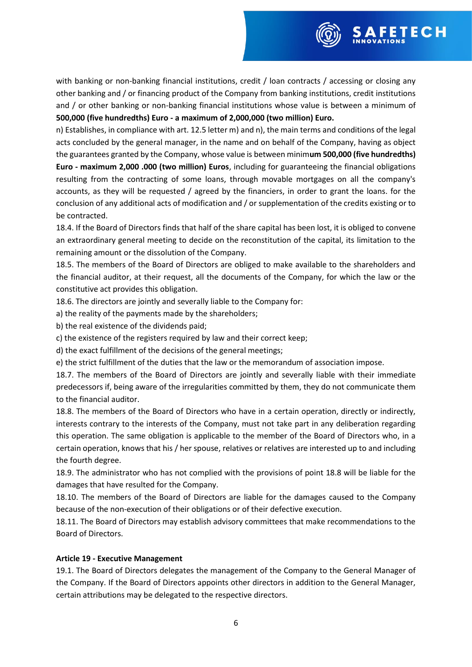

with banking or non-banking financial institutions, credit / loan contracts / accessing or closing any other banking and / or financing product of the Company from banking institutions, credit institutions and / or other banking or non-banking financial institutions whose value is between a minimum of **500,000 (five hundredths) Euro - a maximum of 2,000,000 (two million) Euro.**

n) Establishes, in compliance with art. 12.5 letter m) and n), the main terms and conditions of the legal acts concluded by the general manager, in the name and on behalf of the Company, having as object the guarantees granted by the Company, whose value is between minim**um 500,000 (five hundredths) Euro - maximum 2,000 .000 (two million) Euros**, including for guaranteeing the financial obligations resulting from the contracting of some loans, through movable mortgages on all the company's accounts, as they will be requested / agreed by the financiers, in order to grant the loans. for the conclusion of any additional acts of modification and / or supplementation of the credits existing or to be contracted.

18.4. If the Board of Directors finds that half of the share capital has been lost, it is obliged to convene an extraordinary general meeting to decide on the reconstitution of the capital, its limitation to the remaining amount or the dissolution of the Company.

18.5. The members of the Board of Directors are obliged to make available to the shareholders and the financial auditor, at their request, all the documents of the Company, for which the law or the constitutive act provides this obligation.

18.6. The directors are jointly and severally liable to the Company for:

a) the reality of the payments made by the shareholders;

b) the real existence of the dividends paid;

c) the existence of the registers required by law and their correct keep;

d) the exact fulfillment of the decisions of the general meetings;

e) the strict fulfillment of the duties that the law or the memorandum of association impose.

18.7. The members of the Board of Directors are jointly and severally liable with their immediate predecessors if, being aware of the irregularities committed by them, they do not communicate them to the financial auditor.

18.8. The members of the Board of Directors who have in a certain operation, directly or indirectly, interests contrary to the interests of the Company, must not take part in any deliberation regarding this operation. The same obligation is applicable to the member of the Board of Directors who, in a certain operation, knows that his / her spouse, relatives or relatives are interested up to and including the fourth degree.

18.9. The administrator who has not complied with the provisions of point 18.8 will be liable for the damages that have resulted for the Company.

18.10. The members of the Board of Directors are liable for the damages caused to the Company because of the non-execution of their obligations or of their defective execution.

18.11. The Board of Directors may establish advisory committees that make recommendations to the Board of Directors.

#### **Article 19 - Executive Management**

19.1. The Board of Directors delegates the management of the Company to the General Manager of the Company. If the Board of Directors appoints other directors in addition to the General Manager, certain attributions may be delegated to the respective directors.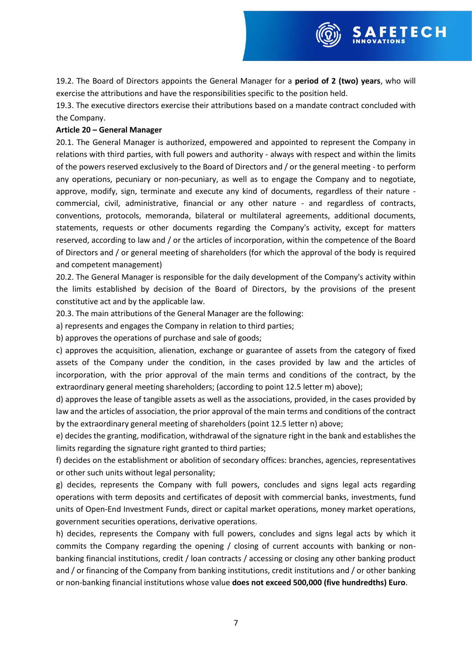19.2. The Board of Directors appoints the General Manager for a **period of 2 (two) years**, who will exercise the attributions and have the responsibilities specific to the position held.

**FETECH** 

19.3. The executive directors exercise their attributions based on a mandate contract concluded with the Company.

#### **Article 20 – General Manager**

20.1. The General Manager is authorized, empowered and appointed to represent the Company in relations with third parties, with full powers and authority - always with respect and within the limits of the powers reserved exclusively to the Board of Directors and / or the general meeting - to perform any operations, pecuniary or non-pecuniary, as well as to engage the Company and to negotiate, approve, modify, sign, terminate and execute any kind of documents, regardless of their nature commercial, civil, administrative, financial or any other nature - and regardless of contracts, conventions, protocols, memoranda, bilateral or multilateral agreements, additional documents, statements, requests or other documents regarding the Company's activity, except for matters reserved, according to law and / or the articles of incorporation, within the competence of the Board of Directors and / or general meeting of shareholders (for which the approval of the body is required and competent management)

20.2. The General Manager is responsible for the daily development of the Company's activity within the limits established by decision of the Board of Directors, by the provisions of the present constitutive act and by the applicable law.

20.3. The main attributions of the General Manager are the following:

a) represents and engages the Company in relation to third parties;

b) approves the operations of purchase and sale of goods;

c) approves the acquisition, alienation, exchange or guarantee of assets from the category of fixed assets of the Company under the condition, in the cases provided by law and the articles of incorporation, with the prior approval of the main terms and conditions of the contract, by the extraordinary general meeting shareholders; (according to point 12.5 letter m) above);

d) approves the lease of tangible assets as well as the associations, provided, in the cases provided by law and the articles of association, the prior approval of the main terms and conditions of the contract by the extraordinary general meeting of shareholders (point 12.5 letter n) above;

e) decides the granting, modification, withdrawal of the signature right in the bank and establishes the limits regarding the signature right granted to third parties;

f) decides on the establishment or abolition of secondary offices: branches, agencies, representatives or other such units without legal personality;

g) decides, represents the Company with full powers, concludes and signs legal acts regarding operations with term deposits and certificates of deposit with commercial banks, investments, fund units of Open-End Investment Funds, direct or capital market operations, money market operations, government securities operations, derivative operations.

h) decides, represents the Company with full powers, concludes and signs legal acts by which it commits the Company regarding the opening / closing of current accounts with banking or nonbanking financial institutions, credit / loan contracts / accessing or closing any other banking product and / or financing of the Company from banking institutions, credit institutions and / or other banking or non-banking financial institutions whose value **does not exceed 500,000 (five hundredths) Euro**.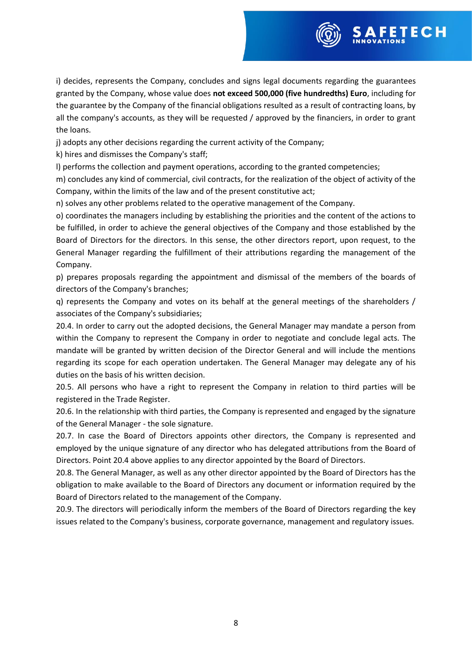

j) adopts any other decisions regarding the current activity of the Company;

k) hires and dismisses the Company's staff;

l) performs the collection and payment operations, according to the granted competencies;

m) concludes any kind of commercial, civil contracts, for the realization of the object of activity of the Company, within the limits of the law and of the present constitutive act;

n) solves any other problems related to the operative management of the Company.

o) coordinates the managers including by establishing the priorities and the content of the actions to be fulfilled, in order to achieve the general objectives of the Company and those established by the Board of Directors for the directors. In this sense, the other directors report, upon request, to the General Manager regarding the fulfillment of their attributions regarding the management of the Company.

p) prepares proposals regarding the appointment and dismissal of the members of the boards of directors of the Company's branches;

q) represents the Company and votes on its behalf at the general meetings of the shareholders / associates of the Company's subsidiaries;

20.4. In order to carry out the adopted decisions, the General Manager may mandate a person from within the Company to represent the Company in order to negotiate and conclude legal acts. The mandate will be granted by written decision of the Director General and will include the mentions regarding its scope for each operation undertaken. The General Manager may delegate any of his duties on the basis of his written decision.

20.5. All persons who have a right to represent the Company in relation to third parties will be registered in the Trade Register.

20.6. In the relationship with third parties, the Company is represented and engaged by the signature of the General Manager - the sole signature.

20.7. In case the Board of Directors appoints other directors, the Company is represented and employed by the unique signature of any director who has delegated attributions from the Board of Directors. Point 20.4 above applies to any director appointed by the Board of Directors.

20.8. The General Manager, as well as any other director appointed by the Board of Directors has the obligation to make available to the Board of Directors any document or information required by the Board of Directors related to the management of the Company.

20.9. The directors will periodically inform the members of the Board of Directors regarding the key issues related to the Company's business, corporate governance, management and regulatory issues.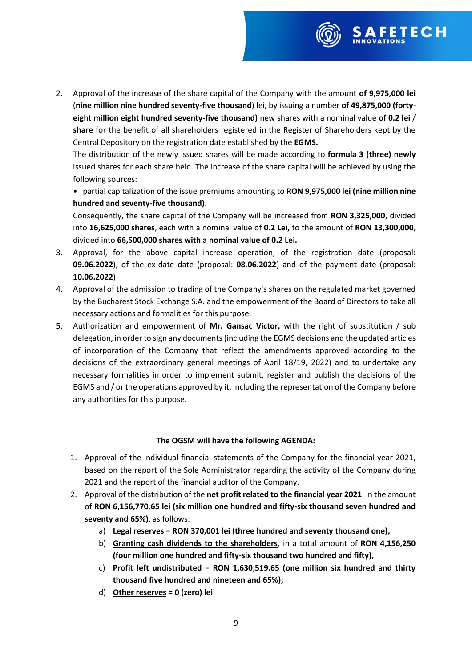

2. Approval of the increase of the share capital of the Company with the amount **of 9,975,000 lei** (**nine million nine hundred seventy-five thousand**) lei, by issuing a number **of 49,875,000 (fortyeight million eight hundred seventy-five thousand)** new shares with a nominal value **of 0.2 lei** / **share** for the benefit of all shareholders registered in the Register of Shareholders kept by the Central Depository on the registration date established by the **EGMS.**

The distribution of the newly issued shares will be made according to **formula 3 (three) newly** issued shares for each share held. The increase of the share capital will be achieved by using the following sources:

• partial capitalization of the issue premiums amounting to **RON 9,975,000 lei (nine million nine hundred and seventy-five thousand).**

Consequently, the share capital of the Company will be increased from **RON 3,325,000**, divided into **16,625,000 shares**, each with a nominal value of **0.2 Lei,** to the amount of **RON 13,300,000**, divided into **66,500,000 shares with a nominal value of 0.2 Lei.**

- 3. Approval, for the above capital increase operation, of the registration date (proposal: **09.06.2022**), of the ex-date date (proposal: **08.06.2022**) and of the payment date (proposal: **10.06.2022**)
- 4. Approval of the admission to trading of the Company's shares on the regulated market governed by the Bucharest Stock Exchange S.A. and the empowerment of the Board of Directors to take all necessary actions and formalities for this purpose.
- 5. Authorization and empowerment of **Mr. Gansac Victor,** with the right of substitution / sub delegation, in order to sign any documents (including the EGMS decisions and the updated articles of incorporation of the Company that reflect the amendments approved according to the decisions of the extraordinary general meetings of April 18/19, 2022) and to undertake any necessary formalities in order to implement submit, register and publish the decisions of the EGMS and / or the operations approved by it, including the representation of the Company before any authorities for this purpose.

# **The OGSM will have the following AGENDA:**

- 1. Approval of the individual financial statements of the Company for the financial year 2021, based on the report of the Sole Administrator regarding the activity of the Company during 2021 and the report of the financial auditor of the Company.
- 2. Approval of the distribution of the **net profit related to the financial year 2021**, in the amount of **RON 6,156,770.65 lei (six million one hundred and fifty-six thousand seven hundred and seventy and 65%)**, as follows:
	- a) **Legal reserves** = **RON 370,001 lei (three hundred and seventy thousand one),**
	- b) **Granting cash dividends to the shareholders**, in a total amount of **RON 4,156,250 (four million one hundred and fifty-six thousand two hundred and fifty),**
	- c) **Profit left undistributed** = **RON 1,630,519.65 (one million six hundred and thirty thousand five hundred and nineteen and 65%);**
	- d) **Other reserves** = **0 (zero) lei**.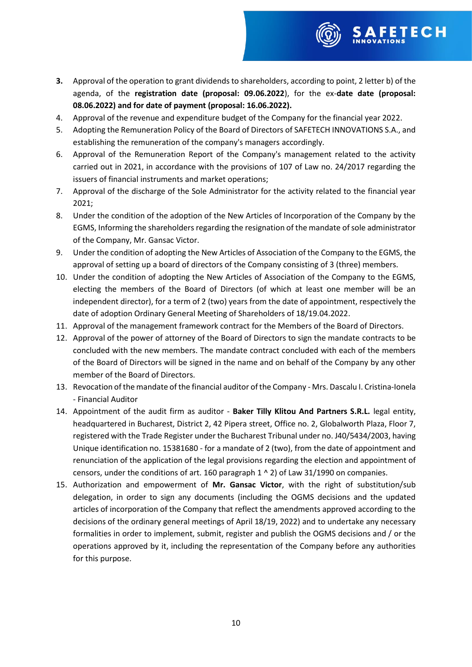**3.** Approval of the operation to grant dividends to shareholders, according to point, 2 letter b) of the agenda, of the **registration date (proposal: 09.06.2022**), for the ex-**date date (proposal: 08.06.2022) and for date of payment (proposal: 16.06.2022).**

SAFETECH

- 4. Approval of the revenue and expenditure budget of the Company for the financial year 2022.
- 5. Adopting the Remuneration Policy of the Board of Directors of SAFETECH INNOVATIONS S.A., and establishing the remuneration of the company's managers accordingly.
- 6. Approval of the Remuneration Report of the Company's management related to the activity carried out in 2021, in accordance with the provisions of 107 of Law no. 24/2017 regarding the issuers of financial instruments and market operations;
- 7. Approval of the discharge of the Sole Administrator for the activity related to the financial year 2021;
- 8. Under the condition of the adoption of the New Articles of Incorporation of the Company by the EGMS, Informing the shareholders regarding the resignation of the mandate of sole administrator of the Company, Mr. Gansac Victor.
- 9. Under the condition of adopting the New Articles of Association of the Company to the EGMS, the approval of setting up a board of directors of the Company consisting of 3 (three) members.
- 10. Under the condition of adopting the New Articles of Association of the Company to the EGMS, electing the members of the Board of Directors (of which at least one member will be an independent director), for a term of 2 (two) years from the date of appointment, respectively the date of adoption Ordinary General Meeting of Shareholders of 18/19.04.2022.
- 11. Approval of the management framework contract for the Members of the Board of Directors.
- 12. Approval of the power of attorney of the Board of Directors to sign the mandate contracts to be concluded with the new members. The mandate contract concluded with each of the members of the Board of Directors will be signed in the name and on behalf of the Company by any other member of the Board of Directors.
- 13. Revocation of the mandate of the financial auditor of the Company Mrs. Dascalu I. Cristina-Ionela - Financial Auditor
- 14. Appointment of the audit firm as auditor **Baker Tilly Klitou And Partners S.R.L.** legal entity, headquartered in Bucharest, District 2, 42 Pipera street, Office no. 2, Globalworth Plaza, Floor 7, registered with the Trade Register under the Bucharest Tribunal under no. J40/5434/2003, having Unique identification no. 15381680 - for a mandate of 2 (two), from the date of appointment and renunciation of the application of the legal provisions regarding the election and appointment of censors, under the conditions of art. 160 paragraph  $1 \wedge 2$ ) of Law 31/1990 on companies.
- 15. Authorization and empowerment of **Mr. Gansac Victor**, with the right of substitution/sub delegation, in order to sign any documents (including the OGMS decisions and the updated articles of incorporation of the Company that reflect the amendments approved according to the decisions of the ordinary general meetings of April 18/19, 2022) and to undertake any necessary formalities in order to implement, submit, register and publish the OGMS decisions and / or the operations approved by it, including the representation of the Company before any authorities for this purpose.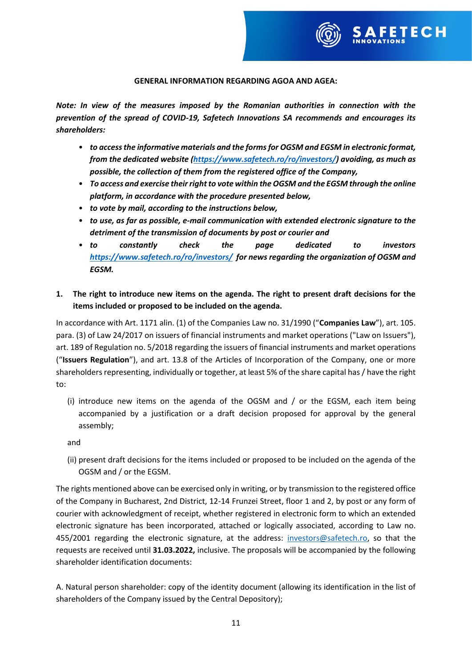

#### **GENERAL INFORMATION REGARDING AGOA AND AGEA:**

*Note: In view of the measures imposed by the Romanian authorities in connection with the prevention of the spread of COVID-19, Safetech Innovations SA recommends and encourages its shareholders:*

- *to access the informative materials and the forms for OGSM and EGSM in electronic format, from the dedicated website [\(https://www.safetech.ro/ro/investors/\)](https://www.safetech.ro/ro/investors/) avoiding, as much as possible, the collection of them from the registered office of the Company,*
- *To access and exercise their right to vote within the OGSM and the EGSM through the online platform, in accordance with the procedure presented below,*
- *to vote by mail, according to the instructions below,*
- *to use, as far as possible, e-mail communication with extended electronic signature to the detriment of the transmission of documents by post or courier and*
- *to constantly check the page dedicated to investors <https://www.safetech.ro/ro/investors/>for news regarding the organization of OGSM and EGSM.*
- **1. The right to introduce new items on the agenda. The right to present draft decisions for the items included or proposed to be included on the agenda.**

In accordance with Art. 1171 alin. (1) of the Companies Law no. 31/1990 ("**Companies Law**"), art. 105. para. (3) of Law 24/2017 on issuers of financial instruments and market operations ("Law on Issuers"), art. 189 of Regulation no. 5/2018 regarding the issuers of financial instruments and market operations ("**Issuers Regulation**"), and art. 13.8 of the Articles of Incorporation of the Company, one or more shareholders representing, individually or together, at least 5% of the share capital has / have the right to:

(i) introduce new items on the agenda of the OGSM and / or the EGSM, each item being accompanied by a justification or a draft decision proposed for approval by the general assembly;

and

(ii) present draft decisions for the items included or proposed to be included on the agenda of the OGSM and / or the EGSM.

The rights mentioned above can be exercised only in writing, or by transmission to the registered office of the Company in Bucharest, 2nd District, 12-14 Frunzei Street, floor 1 and 2, by post or any form of courier with acknowledgment of receipt, whether registered in electronic form to which an extended electronic signature has been incorporated, attached or logically associated, according to Law no. 455/2001 regarding the electronic signature, at the address: [investors@safetech.ro,](mailto:investors@safetech.ro) so that the requests are received until **31.03.2022,** inclusive. The proposals will be accompanied by the following shareholder identification documents:

A. Natural person shareholder: copy of the identity document (allowing its identification in the list of shareholders of the Company issued by the Central Depository);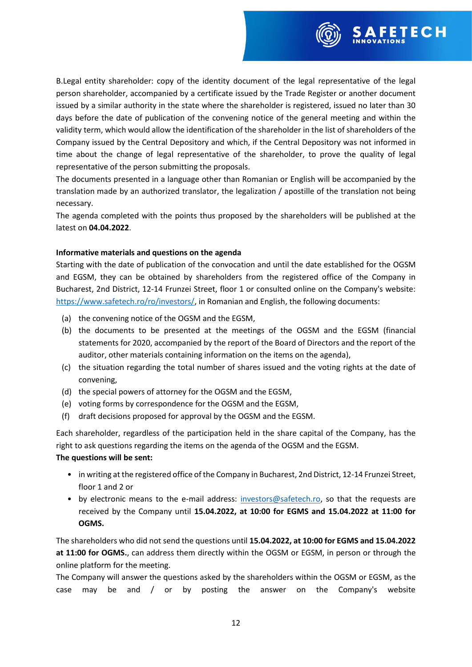

B.Legal entity shareholder: copy of the identity document of the legal representative of the legal person shareholder, accompanied by a certificate issued by the Trade Register or another document issued by a similar authority in the state where the shareholder is registered, issued no later than 30 days before the date of publication of the convening notice of the general meeting and within the validity term, which would allow the identification of the shareholder in the list of shareholders of the Company issued by the Central Depository and which, if the Central Depository was not informed in time about the change of legal representative of the shareholder, to prove the quality of legal representative of the person submitting the proposals.

The documents presented in a language other than Romanian or English will be accompanied by the translation made by an authorized translator, the legalization / apostille of the translation not being necessary.

The agenda completed with the points thus proposed by the shareholders will be published at the latest on **04.04.2022**.

### **Informative materials and questions on the agenda**

Starting with the date of publication of the convocation and until the date established for the OGSM and EGSM, they can be obtained by shareholders from the registered office of the Company in Bucharest, 2nd District, 12-14 Frunzei Street, floor 1 or consulted online on the Company's website: [https://www.safetech.ro/ro/investors/,](https://www.safetech.ro/ro/investors/) in Romanian and English, the following documents:

- (a) the convening notice of the OGSM and the EGSM,
- (b) the documents to be presented at the meetings of the OGSM and the EGSM (financial statements for 2020, accompanied by the report of the Board of Directors and the report of the auditor, other materials containing information on the items on the agenda),
- (c) the situation regarding the total number of shares issued and the voting rights at the date of convening,
- (d) the special powers of attorney for the OGSM and the EGSM,
- (e) voting forms by correspondence for the OGSM and the EGSM,
- (f) draft decisions proposed for approval by the OGSM and the EGSM.

Each shareholder, regardless of the participation held in the share capital of the Company, has the right to ask questions regarding the items on the agenda of the OGSM and the EGSM.

#### **The questions will be sent:**

- in writing at the registered office of the Company in Bucharest, 2nd District, 12-14 Frunzei Street, floor 1 and 2 or
- by electronic means to the e-mail address: [investors@safetech.ro,](mailto:investors@safetech.ro) so that the requests are received by the Company until **15.04.2022, at 10:00 for EGMS and 15.04.2022 at 11:00 for OGMS.**

The shareholders who did not send the questions until **15.04.2022, at 10:00 for EGMS and 15.04.2022 at 11:00 for OGMS.**, can address them directly within the OGSM or EGSM, in person or through the online platform for the meeting.

The Company will answer the questions asked by the shareholders within the OGSM or EGSM, as the case may be and / or by posting the answer on the Company's website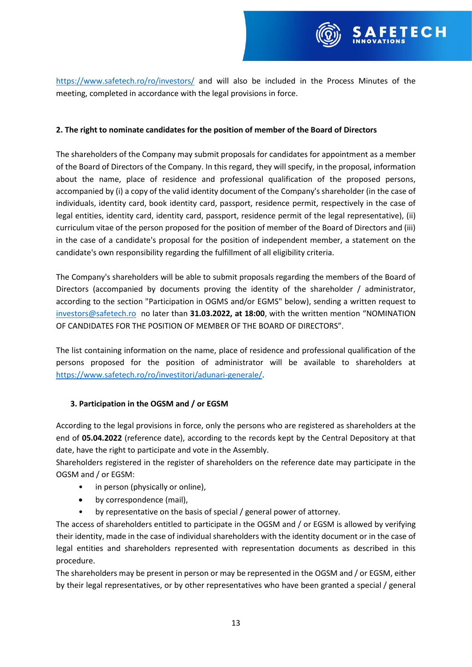

<https://www.safetech.ro/ro/investors/> and will also be included in the Process Minutes of the meeting, completed in accordance with the legal provisions in force.

### **2. The right to nominate candidates for the position of member of the Board of Directors**

The shareholders of the Company may submit proposals for candidates for appointment as a member of the Board of Directors of the Company. In this regard, they will specify, in the proposal, information about the name, place of residence and professional qualification of the proposed persons, accompanied by (i) a copy of the valid identity document of the Company's shareholder (in the case of individuals, identity card, book identity card, passport, residence permit, respectively in the case of legal entities, identity card, identity card, passport, residence permit of the legal representative), (ii) curriculum vitae of the person proposed for the position of member of the Board of Directors and (iii) in the case of a candidate's proposal for the position of independent member, a statement on the candidate's own responsibility regarding the fulfillment of all eligibility criteria.

The Company's shareholders will be able to submit proposals regarding the members of the Board of Directors (accompanied by documents proving the identity of the shareholder / administrator, according to the section "Participation in OGMS and/or EGMS" below), sending a written request to [investors@safetech.ro](mailto:investors@safetech.ro) no later than **31.03.2022, at 18:00**, with the written mention "NOMINATION OF CANDIDATES FOR THE POSITION OF MEMBER OF THE BOARD OF DIRECTORS".

The list containing information on the name, place of residence and professional qualification of the persons proposed for the position of administrator will be available to shareholders at [https://www.safetech.ro/ro/investitori/adunari-generale/.](https://www.safetech.ro/ro/investitori/adunari-generale/)

# **3. Participation in the OGSM and / or EGSM**

According to the legal provisions in force, only the persons who are registered as shareholders at the end of **05.04.2022** (reference date), according to the records kept by the Central Depository at that date, have the right to participate and vote in the Assembly.

Shareholders registered in the register of shareholders on the reference date may participate in the OGSM and / or EGSM:

- in person (physically or online),
- by correspondence (mail),
- by representative on the basis of special / general power of attorney.

The access of shareholders entitled to participate in the OGSM and / or EGSM is allowed by verifying their identity, made in the case of individual shareholders with the identity document or in the case of legal entities and shareholders represented with representation documents as described in this procedure.

The shareholders may be present in person or may be represented in the OGSM and / or EGSM, either by their legal representatives, or by other representatives who have been granted a special / general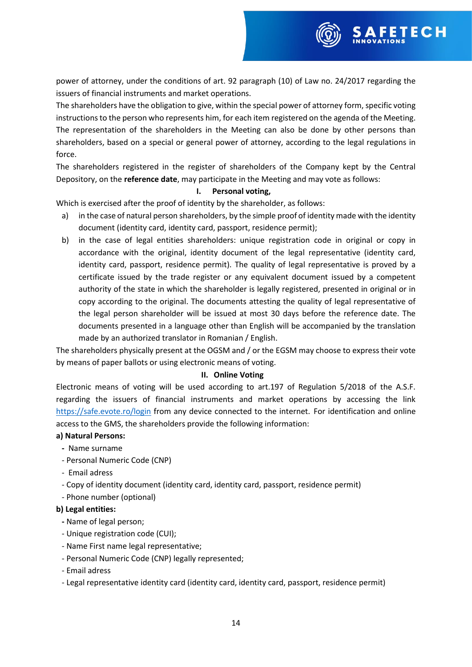

The shareholders have the obligation to give, within the special power of attorney form, specific voting instructions to the person who represents him, for each item registered on the agenda of the Meeting. The representation of the shareholders in the Meeting can also be done by other persons than shareholders, based on a special or general power of attorney, according to the legal regulations in force.

The shareholders registered in the register of shareholders of the Company kept by the Central Depository, on the **reference date**, may participate in the Meeting and may vote as follows:

### **I. Personal voting,**

Which is exercised after the proof of identity by the shareholder, as follows:

- a) in the case of natural person shareholders, by the simple proof of identity made with the identity document (identity card, identity card, passport, residence permit);
- b) in the case of legal entities shareholders: unique registration code in original or copy in accordance with the original, identity document of the legal representative (identity card, identity card, passport, residence permit). The quality of legal representative is proved by a certificate issued by the trade register or any equivalent document issued by a competent authority of the state in which the shareholder is legally registered, presented in original or in copy according to the original. The documents attesting the quality of legal representative of the legal person shareholder will be issued at most 30 days before the reference date. The documents presented in a language other than English will be accompanied by the translation made by an authorized translator in Romanian / English.

The shareholders physically present at the OGSM and / or the EGSM may choose to express their vote by means of paper ballots or using electronic means of voting.

# **II. Online Voting**

Electronic means of voting will be used according to art.197 of Regulation 5/2018 of the A.S.F. regarding the issuers of financial instruments and market operations by accessing the link <https://safe.evote.ro/login> from any device connected to the internet. For identification and online access to the GMS, the shareholders provide the following information:

#### **a) Natural Persons:**

- Name surname
- Personal Numeric Code (CNP)
- Email adress
- Copy of identity document (identity card, identity card, passport, residence permit)
- Phone number (optional)

#### **b) Legal entities:**

- **-** Name of legal person;
- Unique registration code (CUI);
- Name First name legal representative;
- Personal Numeric Code (CNP) legally represented;
- Email adress
- Legal representative identity card (identity card, identity card, passport, residence permit)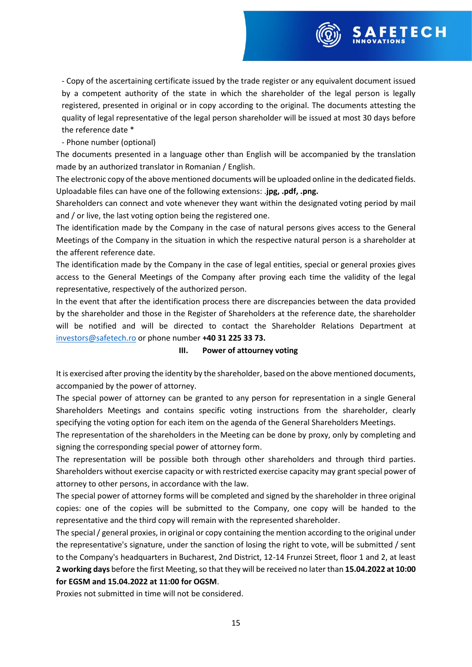- Copy of the ascertaining certificate issued by the trade register or any equivalent document issued by a competent authority of the state in which the shareholder of the legal person is legally registered, presented in original or in copy according to the original. The documents attesting the quality of legal representative of the legal person shareholder will be issued at most 30 days before the reference date \*

**FETECH** 

# - Phone number (optional)

The documents presented in a language other than English will be accompanied by the translation made by an authorized translator in Romanian / English.

The electronic copy of the above mentioned documents will be uploaded online in the dedicated fields. Uploadable files can have one of the following extensions: .**jpg, .pdf, .png.**

Shareholders can connect and vote whenever they want within the designated voting period by mail and / or live, the last voting option being the registered one.

The identification made by the Company in the case of natural persons gives access to the General Meetings of the Company in the situation in which the respective natural person is a shareholder at the afferent reference date.

The identification made by the Company in the case of legal entities, special or general proxies gives access to the General Meetings of the Company after proving each time the validity of the legal representative, respectively of the authorized person.

In the event that after the identification process there are discrepancies between the data provided by the shareholder and those in the Register of Shareholders at the reference date, the shareholder will be notified and will be directed to contact the Shareholder Relations Department at [investors@safetech.ro](mailto:investors@safetech.ro) or phone number **+40 31 225 33 73.**

#### **III. Power of attourney voting**

It is exercised after proving the identity by the shareholder, based on the above mentioned documents, accompanied by the power of attorney.

The special power of attorney can be granted to any person for representation in a single General Shareholders Meetings and contains specific voting instructions from the shareholder, clearly specifying the voting option for each item on the agenda of the General Shareholders Meetings.

The representation of the shareholders in the Meeting can be done by proxy, only by completing and signing the corresponding special power of attorney form.

The representation will be possible both through other shareholders and through third parties. Shareholders without exercise capacity or with restricted exercise capacity may grant special power of attorney to other persons, in accordance with the law.

The special power of attorney forms will be completed and signed by the shareholder in three original copies: one of the copies will be submitted to the Company, one copy will be handed to the representative and the third copy will remain with the represented shareholder.

The special / general proxies, in original or copy containing the mention according to the original under the representative's signature, under the sanction of losing the right to vote, will be submitted / sent to the Company's headquarters in Bucharest, 2nd District, 12-14 Frunzei Street, floor 1 and 2, at least **2 working days** before the first Meeting, so that they will be received no later than **15.04.2022 at 10:00 for EGSM and 15.04.2022 at 11:00 for OGSM**.

Proxies not submitted in time will not be considered.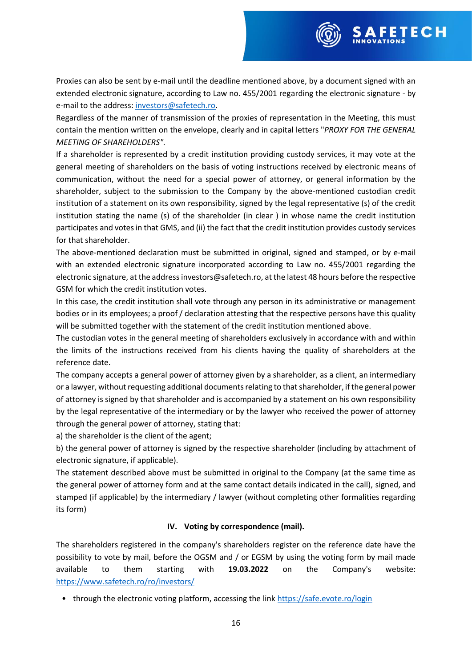Proxies can also be sent by e-mail until the deadline mentioned above, by a document signed with an extended electronic signature, according to Law no. 455/2001 regarding the electronic signature - by e-mail to the address: [investors@safetech.ro.](mailto:investors@safetech.ro)

**FETECH** 

Regardless of the manner of transmission of the proxies of representation in the Meeting, this must contain the mention written on the envelope, clearly and in capital letters "*PROXY FOR THE GENERAL MEETING OF SHAREHOLDERS".*

If a shareholder is represented by a credit institution providing custody services, it may vote at the general meeting of shareholders on the basis of voting instructions received by electronic means of communication, without the need for a special power of attorney, or general information by the shareholder, subject to the submission to the Company by the above-mentioned custodian credit institution of a statement on its own responsibility, signed by the legal representative (s) of the credit institution stating the name (s) of the shareholder (in clear ) in whose name the credit institution participates and votes in that GMS, and (ii) the fact that the credit institution provides custody services for that shareholder.

The above-mentioned declaration must be submitted in original, signed and stamped, or by e-mail with an extended electronic signature incorporated according to Law no. 455/2001 regarding the electronic signature, at the address investors@safetech.ro, at the latest 48 hours before the respective GSM for which the credit institution votes.

In this case, the credit institution shall vote through any person in its administrative or management bodies or in its employees; a proof / declaration attesting that the respective persons have this quality will be submitted together with the statement of the credit institution mentioned above.

The custodian votes in the general meeting of shareholders exclusively in accordance with and within the limits of the instructions received from his clients having the quality of shareholders at the reference date.

The company accepts a general power of attorney given by a shareholder, as a client, an intermediary or a lawyer, without requesting additional documents relating to that shareholder, if the general power of attorney is signed by that shareholder and is accompanied by a statement on his own responsibility by the legal representative of the intermediary or by the lawyer who received the power of attorney through the general power of attorney, stating that:

a) the shareholder is the client of the agent;

b) the general power of attorney is signed by the respective shareholder (including by attachment of electronic signature, if applicable).

The statement described above must be submitted in original to the Company (at the same time as the general power of attorney form and at the same contact details indicated in the call), signed, and stamped (if applicable) by the intermediary / lawyer (without completing other formalities regarding its form)

# **IV. Voting by correspondence (mail).**

The shareholders registered in the company's shareholders register on the reference date have the possibility to vote by mail, before the OGSM and / or EGSM by using the voting form by mail made available to them starting with **19.03.2022** on the Company's website: <https://www.safetech.ro/ro/investors/>

• through the electronic voting platform, accessing the link<https://safe.evote.ro/login>